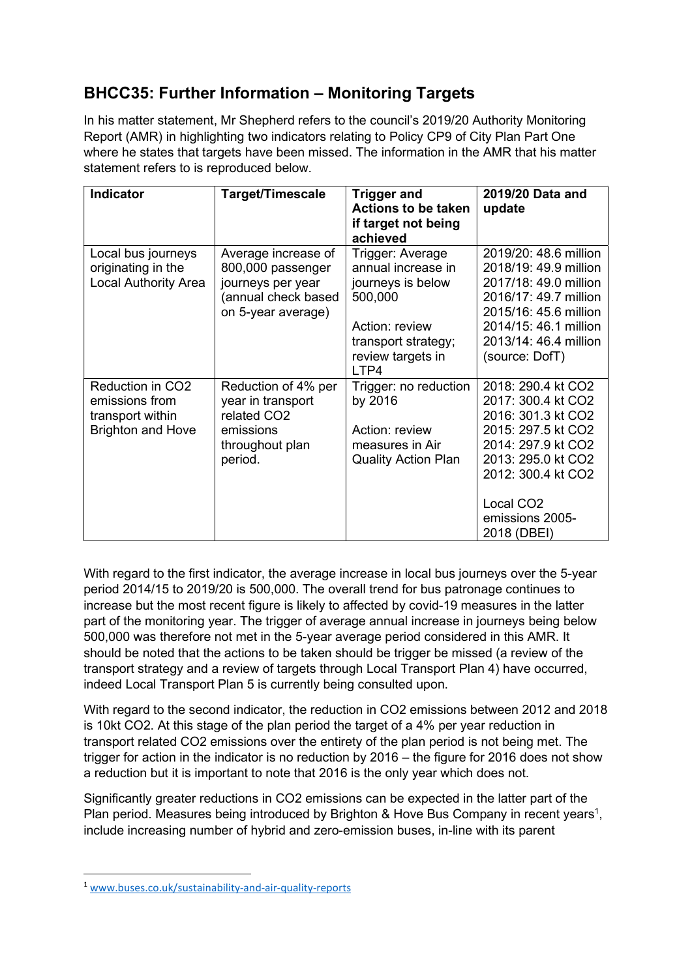## BHCC35: Further Information – Monitoring Targets

In his matter statement, Mr Shepherd refers to the council's 2019/20 Authority Monitoring Report (AMR) in highlighting two indicators relating to Policy CP9 of City Plan Part One where he states that targets have been missed. The information in the AMR that his matter statement refers to is reproduced below.

| <b>Indicator</b>                                                                   | Target/Timescale                                                                                           | <b>Trigger and</b><br><b>Actions to be taken</b><br>if target not being<br>achieved                                                          | 2019/20 Data and<br>update                                                                                                                                                                                        |
|------------------------------------------------------------------------------------|------------------------------------------------------------------------------------------------------------|----------------------------------------------------------------------------------------------------------------------------------------------|-------------------------------------------------------------------------------------------------------------------------------------------------------------------------------------------------------------------|
| Local bus journeys<br>originating in the<br><b>Local Authority Area</b>            | Average increase of<br>800,000 passenger<br>journeys per year<br>(annual check based<br>on 5-year average) | Trigger: Average<br>annual increase in<br>journeys is below<br>500,000<br>Action: review<br>transport strategy;<br>review targets in<br>LTP4 | 2019/20: 48.6 million<br>2018/19: 49.9 million<br>2017/18: 49.0 million<br>2016/17: 49.7 million<br>2015/16: 45.6 million<br>2014/15: 46.1 million<br>2013/14: 46.4 million<br>(source: DofT)                     |
| Reduction in CO2<br>emissions from<br>transport within<br><b>Brighton and Hove</b> | Reduction of 4% per<br>year in transport<br>related CO2<br>emissions<br>throughout plan<br>period.         | Trigger: no reduction<br>by 2016<br>Action: review<br>measures in Air<br><b>Quality Action Plan</b>                                          | 2018: 290.4 kt CO2<br>2017: 300.4 kt CO2<br>2016: 301.3 kt CO2<br>2015: 297.5 kt CO2<br>2014: 297.9 kt CO2<br>2013: 295.0 kt CO2<br>2012: 300.4 kt CO2<br>Local CO <sub>2</sub><br>emissions 2005-<br>2018 (DBEI) |

With regard to the first indicator, the average increase in local bus journeys over the 5-year period 2014/15 to 2019/20 is 500,000. The overall trend for bus patronage continues to increase but the most recent figure is likely to affected by covid-19 measures in the latter part of the monitoring year. The trigger of average annual increase in journeys being below 500,000 was therefore not met in the 5-year average period considered in this AMR. It should be noted that the actions to be taken should be trigger be missed (a review of the transport strategy and a review of targets through Local Transport Plan 4) have occurred, indeed Local Transport Plan 5 is currently being consulted upon.

With regard to the second indicator, the reduction in CO2 emissions between 2012 and 2018 is 10kt CO2. At this stage of the plan period the target of a 4% per year reduction in transport related CO2 emissions over the entirety of the plan period is not being met. The trigger for action in the indicator is no reduction by 2016 – the figure for 2016 does not show a reduction but it is important to note that 2016 is the only year which does not.

Significantly greater reductions in CO2 emissions can be expected in the latter part of the Plan period. Measures being introduced by Brighton & Hove Bus Company in recent years<sup>1</sup>, include increasing number of hybrid and zero-emission buses, in-line with its parent

<sup>1</sup> www.buses.co.uk/sustainability-and-air-quality-reports